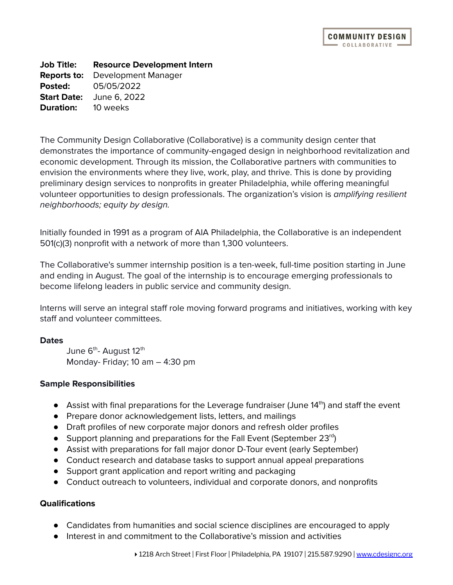**Job Title: Resource Development Intern Reports to:** Development Manager **Posted:** 05/05/2022 **Start Date:** June 6, 2022 **Duration:** 10 weeks

The Community Design Collaborative (Collaborative) is a community design center that demonstrates the importance of community-engaged design in neighborhood revitalization and economic development. Through its mission, the Collaborative partners with communities to envision the environments where they live, work, play, and thrive. This is done by providing preliminary design services to nonprofits in greater Philadelphia, while offering meaningful volunteer opportunities to design professionals. The organization's vision is amplifying resilient neighborhoods; equity by design.

Initially founded in 1991 as a program of AIA Philadelphia, the Collaborative is an independent 501(c)(3) nonprofit with a network of more than 1,300 volunteers.

The Collaborative's summer internship position is a ten-week, full-time position starting in June and ending in August. The goal of the internship is to encourage emerging professionals to become lifelong leaders in public service and community design.

Interns will serve an integral staff role moving forward programs and initiatives, working with key staff and volunteer committees.

## **Dates**

June 6<sup>th</sup>- August 12<sup>th</sup> Monday- Friday; 10 am – 4:30 pm

## **Sample Responsibilities**

- Assist with final preparations for the Leverage fundraiser (June 14<sup>th</sup>) and staff the event
- Prepare donor acknowledgement lists, letters, and mailings
- Draft profiles of new corporate major donors and refresh older profiles
- Support planning and preparations for the Fall Event (September 23rd)
- Assist with preparations for fall major donor D-Tour event (early September)
- Conduct research and database tasks to support annual appeal preparations
- Support grant application and report writing and packaging
- Conduct outreach to volunteers, individual and corporate donors, and nonprofits

## **Qualifications**

- Candidates from humanities and social science disciplines are encouraged to apply
- Interest in and commitment to the Collaborative's mission and activities